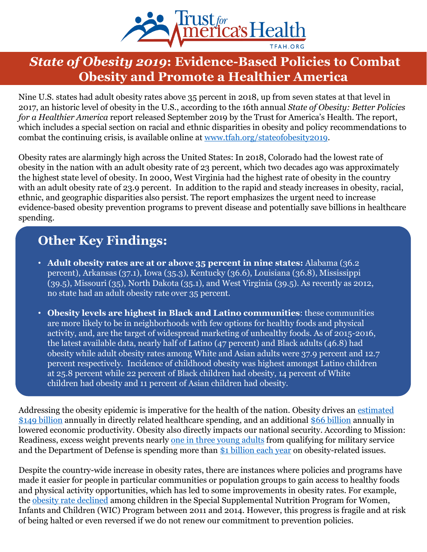

## *State of Obesity 2019***: Evidence-Based Policies to Combat Obesity and Promote a Healthier America**

Nine U.S. states had adult obesity rates above 35 percent in 2018, up from seven states at that level in 2017, an historic level of obesity in the U.S., according to the 16th annual *State of Obesity: Better Policies for a Healthier America* report released September 2019 by the Trust for America's Health. The report, which includes a special section on racial and ethnic disparities in obesity and policy recommendations to combat the continuing crisis, is available online at [www.tfah.org/stateofobesity2019](http://www.tfah.org/stateofobesity2019).

Obesity rates are alarmingly high across the United States: In 2018, Colorado had the lowest rate of obesity in the nation with an adult obesity rate of 23 percent, which two decades ago was approximately the highest state level of obesity. In 2000, West Virginia had the highest rate of obesity in the country with an adult obesity rate of 23.9 percent. In addition to the rapid and steady increases in obesity, racial, ethnic, and geographic disparities also persist. The report emphasizes the urgent need to increase evidence-based obesity prevention programs to prevent disease and potentially save billions in healthcare spending.

# **Other Key Findings:**

- **Adult obesity rates are at or above 35 percent in nine states:** Alabama (36.2 percent), Arkansas (37.1), Iowa (35.3), Kentucky (36.6), Louisiana (36.8), Mississippi  $(39.5)$ , Missouri (35), North Dakota (35.1), and West Virginia (39.5). As recently as 2012, no state had an adult obesity rate over 35 percent.
- **Obesity levels are highest in Black and Latino communities**: these communities are more likely to be in neighborhoods with few options for healthy foods and physical activity, and, are the target of widespread marketing of unhealthy foods. As of 2015-2016, the latest available data, nearly half of Latino (47 percent) and Black adults (46.8) had obesity while adult obesity rates among White and Asian adults were 37.9 percent and 12.7 percent respectively. Incidence of childhood obesity was highest amongst Latino children at 25.8 percent while 22 percent of Black children had obesity, 14 percent of White children had obesity and 11 percent of Asian children had obesity.

[Addressing the obesity epidemic is imperative for the health of the nation. Obesity drives an estimated](https://www.valueinhealthjournal.com/article/S1098-3015(16)00055-3/pdf) \$149 billion annually in directly related healthcare spending, and an additional [\\$66 billion](https://www.valueinhealthjournal.com/article/S1098-3015(16)00055-3/pdf) annually in lowered economic productivity. Obesity also directly impacts our national security. According to Mission: Readiness, excess weight prevents nearly [one in three young adults](https://strongnation.s3.amazonaws.com/documents/484/389765e0-2500-49a2-9a67-5c4a090a215b.pdf?1539616379&inline;%20filename=%22Unhealthy%20and%20Unprepared%20report.pdf%22) from qualifying for military service and the Department of Defense is spending more than [\\$1 billion each year](https://strongnation.s3.amazonaws.com/documents/484/389765e0-2500-49a2-9a67-5c4a090a215b.pdf?1539616379&inline;%20filename=%22Unhealthy%20and%20Unprepared%20report.pdf%22) on obesity-related issues.

Despite the country-wide increase in obesity rates, there are instances where policies and programs have made it easier for people in particular communities or population groups to gain access to healthy foods and physical activity opportunities, which has led to some improvements in obesity rates. For example, the [obesity rate declined](https://pediatrics.aappublications.org/content/143/5/e20182841?sso=1&sso_redirect_count=1&nfstatus=401&nftoken=00000000-0000-0000-0000-000000000000&nfstatusdescription=ERROR%3a+No+local+token) among children in the Special Supplemental Nutrition Program for Women, Infants and Children (WIC) Program between 2011 and 2014. However, this progress is fragile and at risk of being halted or even reversed if we do not renew our commitment to prevention policies.